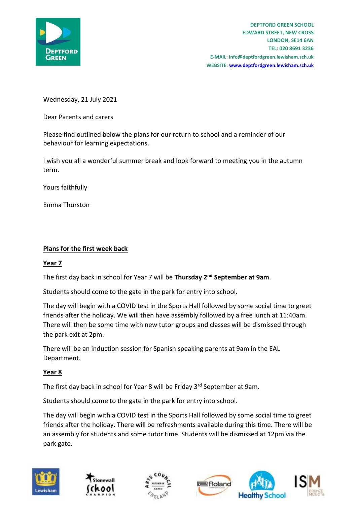

Wednesday, 21 July 2021

Dear Parents and carers

Please find outlined below the plans for our return to school and a reminder of our behaviour for learning expectations.

I wish you all a wonderful summer break and look forward to meeting you in the autumn term.

Yours faithfully

Emma Thurston

## **Plans for the first week back**

## **Year 7**

The first day back in school for Year 7 will be **Thursday 2nd September at 9am**.

Students should come to the gate in the park for entry into school.

The day will begin with a COVID test in the Sports Hall followed by some social time to greet friends after the holiday. We will then have assembly followed by a free lunch at 11:40am. There will then be some time with new tutor groups and classes will be dismissed through the park exit at 2pm.

There will be an induction session for Spanish speaking parents at 9am in the EAL Department.

## **Year 8**

The first day back in school for Year 8 will be Friday 3rd September at 9am.

Students should come to the gate in the park for entry into school.

The day will begin with a COVID test in the Sports Hall followed by some social time to greet friends after the holiday. There will be refreshments available during this time. There will be an assembly for students and some tutor time. Students will be dismissed at 12pm via the park gate.









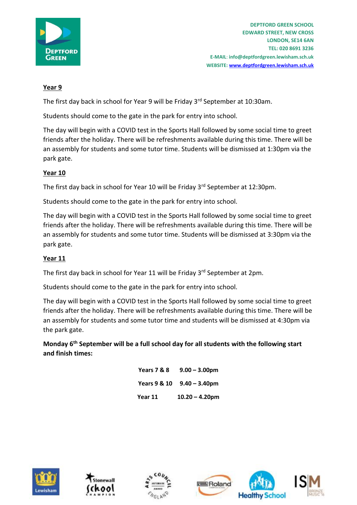

# **Year 9**

The first day back in school for Year 9 will be Friday 3<sup>rd</sup> September at 10:30am.

Students should come to the gate in the park for entry into school.

The day will begin with a COVID test in the Sports Hall followed by some social time to greet friends after the holiday. There will be refreshments available during this time. There will be an assembly for students and some tutor time. Students will be dismissed at 1:30pm via the park gate.

# **Year 10**

The first day back in school for Year 10 will be Friday 3<sup>rd</sup> September at 12:30pm.

Students should come to the gate in the park for entry into school.

The day will begin with a COVID test in the Sports Hall followed by some social time to greet friends after the holiday. There will be refreshments available during this time. There will be an assembly for students and some tutor time. Students will be dismissed at 3:30pm via the park gate.

# **Year 11**

The first day back in school for Year 11 will be Friday 3rd September at 2pm.

Students should come to the gate in the park for entry into school.

The day will begin with a COVID test in the Sports Hall followed by some social time to greet friends after the holiday. There will be refreshments available during this time. There will be an assembly for students and some tutor time and students will be dismissed at 4:30pm via the park gate.

**Monday 6th September will be a full school day for all students with the following start and finish times:** 

| Years 7 & 8             | $9.00 - 3.00$ pm  |
|-------------------------|-------------------|
| <b>Years 9 &amp; 10</b> | $9.40 - 3.40$ pm  |
| Year 11                 | $10.20 - 4.20$ pm |









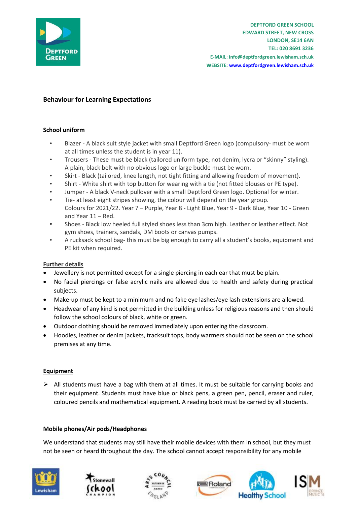

# **Behaviour for Learning Expectations**

## **School uniform**

- Blazer A black suit style jacket with small Deptford Green logo (compulsory- must be worn at all times unless the student is in year 11).
- Trousers These must be black (tailored uniform type, not denim, lycra or "skinny" styling). A plain, black belt with no obvious logo or large buckle must be worn.
- Skirt Black (tailored, knee length, not tight fitting and allowing freedom of movement).
- Shirt White shirt with top button for wearing with a tie (not fitted blouses or PE type).
- Jumper A black V-neck pullover with a small Deptford Green logo. Optional for winter.
- Tie- at least eight stripes showing, the colour will depend on the year group.
- Colours for 2021/22. Year 7 Purple, Year 8 Light Blue, Year 9 Dark Blue, Year 10 Green and Year 11 – Red.
- **•** Shoes Black low heeled full styled shoes less than 3cm high. Leather or leather effect. Not gym shoes, trainers, sandals, DM boots or canvas pumps.
- A rucksack school bag- this must be big enough to carry all a student's books, equipment and PE kit when required.

### **Further details**

- Jewellery is not permitted except for a single piercing in each ear that must be plain.
- No facial piercings or false acrylic nails are allowed due to health and safety during practical subjects.
- Make-up must be kept to a minimum and no fake eye lashes/eye lash extensions are allowed.
- Headwear of any kind is not permitted in the building unless for religious reasons and then should follow the school colours of black, white or green.
- Outdoor clothing should be removed immediately upon entering the classroom.
- Hoodies, leather or denim jackets, tracksuit tops, body warmers should not be seen on the school premises at any time.

### **Equipment**

 $\triangleright$  All students must have a bag with them at all times. It must be suitable for carrying books and their equipment. Students must have blue or black pens, a green pen, pencil, eraser and ruler, coloured pencils and mathematical equipment. A reading book must be carried by all students.

### **Mobile phones/Air pods/Headphones**

We understand that students may still have their mobile devices with them in school, but they must not be seen or heard throughout the day. The school cannot accept responsibility for any mobile